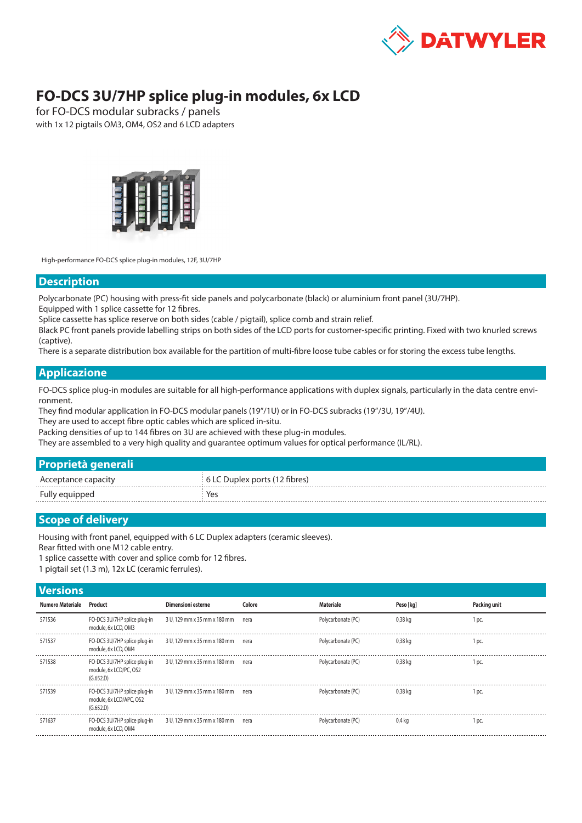

# **FO-DCS 3U/7HP splice plug-in modules, 6x LCD**

for FO-DCS modular subracks / panels with 1x 12 pigtails OM3, OM4, OS2 and 6 LCD adapters



High-performance FO-DCS splice plug-in modules, 12F, 3U/7HP

#### **Description**

Polycarbonate (PC) housing with press-fit side panels and polycarbonate (black) or aluminium front panel (3U/7HP).

Equipped with 1 splice cassette for 12 fibres.

Splice cassette has splice reserve on both sides (cable / pigtail), splice comb and strain relief.

Black PC front panels provide labelling strips on both sides of the LCD ports for customer-specific printing. Fixed with two knurled screws (captive).

There is a separate distribution box available for the partition of multi-fibre loose tube cables or for storing the excess tube lengths.

### **Applicazione**

FO-DCS splice plug-in modules are suitable for all high-performance applications with duplex signals, particularly in the data centre environment.

They find modular application in FO-DCS modular panels (19"/1U) or in FO-DCS subracks (19"/3U, 19"/4U).

They are used to accept fibre optic cables which are spliced in-situ.

Packing densities of up to 144 fibres on 3U are achieved with these plug-in modules.

They are assembled to a very high quality and guarantee optimum values for optical performance (IL/RL).

| <b>Proprietà generali</b> |                               |
|---------------------------|-------------------------------|
| Acceptance capacity       | 6 LC Duplex ports (12 fibres) |
| Fully equipped            | Yes                           |
|                           |                               |

## **Scope of delivery**

Housing with front panel, equipped with 6 LC Duplex adapters (ceramic sleeves).

Rear fitted with one M12 cable entry.

1 splice cassette with cover and splice comb for 12 fibres.

1 pigtail set (1.3 m), 12x LC (ceramic ferrules).

# **Versions**

| VGI ƏIVIIƏ       |                                                                      |                                   |        |                    |           |              |  |
|------------------|----------------------------------------------------------------------|-----------------------------------|--------|--------------------|-----------|--------------|--|
| Numero Materiale | Product                                                              | Dimensioni esterne                | Colore | <b>Materiale</b>   | Peso [kg] | Packing unit |  |
| 571536           | FO-DCS 3U/7HP splice plug-in<br>module, 6x LCD, OM3                  | 3 U, 129 mm x 35 mm x 180 mm      | nera   | Polycarbonate (PC) | $0,38$ kg | 1 pc         |  |
| 571537           | FO-DCS 3U/7HP splice plug-in<br>module, 6x LCD, OM4                  | 3 U, 129 mm x 35 mm x 180 mm nera |        | Polycarbonate (PC) | 0,38 kg   | 1 pc         |  |
| 571538           | FO-DCS 3U/7HP splice plug-in<br>module, 6x LCD/PC, OS2<br>(G.652.D)  | 3 U, 129 mm x 35 mm x 180 mm nera |        | Polycarbonate (PC) | 0,38 kg   | 1 pc.        |  |
| 571539           | FO-DCS 3U/7HP splice plug-in<br>module, 6x LCD/APC, OS2<br>(G.652.D) | 3 U, 129 mm x 35 mm x 180 mm nera |        | Polycarbonate (PC) | 0,38 kg   | DC           |  |
| 571637           | FO-DCS 3U/7HP splice plug-in<br>module, 6x LCD, OM4                  | 3 U, 129 mm x 35 mm x 180 mm nera |        | Polycarbonate (PC) | 0.4 ka    | 1 pc.        |  |